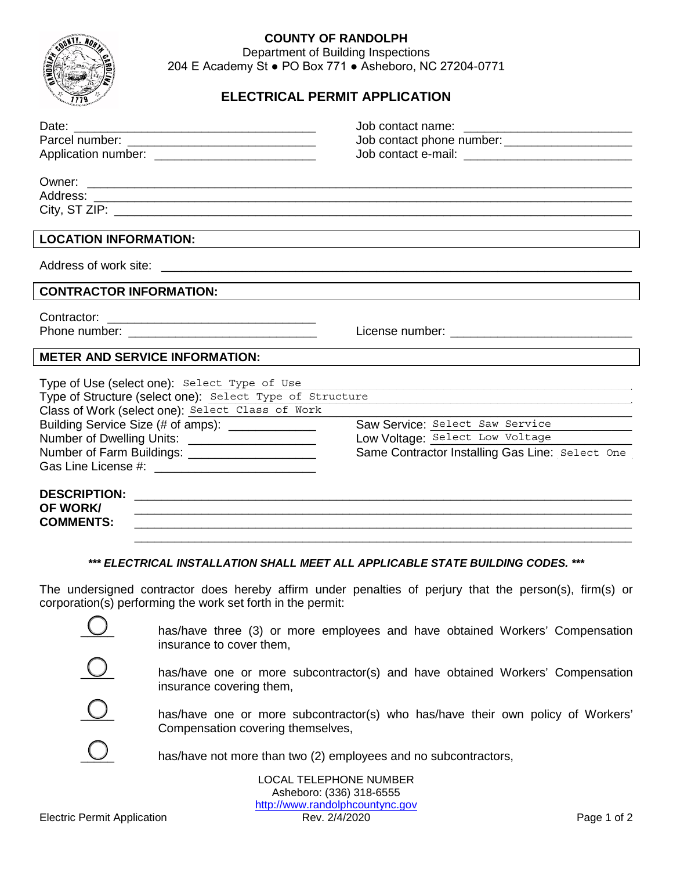

## **COUNTY OF RANDOLPH**

Department of Building Inspections 204 E Academy St ● PO Box 771 ● Asheboro, NC 27204-0771

## **ELECTRICAL PERMIT APPLICATION**

|                                                                                 | Job contact phone number: ________________________                                |
|---------------------------------------------------------------------------------|-----------------------------------------------------------------------------------|
|                                                                                 |                                                                                   |
|                                                                                 |                                                                                   |
|                                                                                 |                                                                                   |
|                                                                                 |                                                                                   |
|                                                                                 |                                                                                   |
| <b>LOCATION INFORMATION:</b>                                                    |                                                                                   |
|                                                                                 |                                                                                   |
|                                                                                 |                                                                                   |
| <b>CONTRACTOR INFORMATION:</b>                                                  |                                                                                   |
| Contractor:                                                                     |                                                                                   |
|                                                                                 |                                                                                   |
|                                                                                 |                                                                                   |
| <b>METER AND SERVICE INFORMATION:</b>                                           |                                                                                   |
| Type of Use (select one): Select Type of Use                                    |                                                                                   |
| Type of Structure (select one): Select Type of Structure                        |                                                                                   |
| Class of Work (select one): Select Class of Work                                |                                                                                   |
| Building Service Size (# of amps): _____________                                | Saw Service: Select Saw Service                                                   |
| Number of Dwelling Units: _______________________                               | Low Voltage: Select Low Voltage                                                   |
| Number of Farm Buildings: _____________________                                 | Same Contractor Installing Gas Line: Select One                                   |
|                                                                                 |                                                                                   |
|                                                                                 |                                                                                   |
|                                                                                 |                                                                                   |
| <b>OF WORK/</b>                                                                 | ,我们也不能在这里的人,我们也不能在这里的人,我们也不能在这里的人,我们也不能在这里的人,我们也不能在这里的人,我们也不能在这里的人,我们也不能在这里的人,我们也 |
| <b>COMMENTS:</b>                                                                |                                                                                   |
|                                                                                 |                                                                                   |
|                                                                                 |                                                                                   |
| *** ELECTRICAL INSTALLATION SHALL MEET ALL APPLICABLE STATE BUILDING CODES. *** |                                                                                   |

The undersigned contractor does hereby affirm under penalties of perjury that the person(s), firm(s) or corporation(s) performing the work set forth in the permit:



LOCAL TELEPHONE NUMBER Asheboro: (336) 318-6555 http://www.randolphcountync.gov<br>Rev. 2/4/2020 Electric Permit Application **Rev. 2/4/2020** Rev. 2/4/2020 **Page 1 of 2**